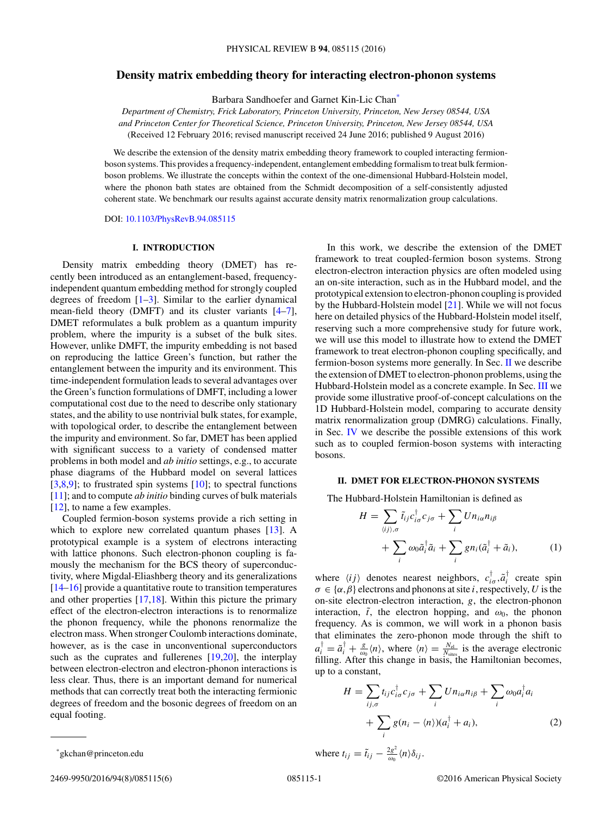# <span id="page-0-0"></span>**Density matrix embedding theory for interacting electron-phonon systems**

Barbara Sandhoefer and Garnet Kin-Lic Chan\*

*Department of Chemistry, Frick Laboratory, Princeton University, Princeton, New Jersey 08544, USA and Princeton Center for Theoretical Science, Princeton University, Princeton, New Jersey 08544, USA* (Received 12 February 2016; revised manuscript received 24 June 2016; published 9 August 2016)

We describe the extension of the density matrix embedding theory framework to coupled interacting fermionboson systems. This provides a frequency-independent, entanglement embedding formalism to treat bulk fermionboson problems. We illustrate the concepts within the context of the one-dimensional Hubbard-Holstein model, where the phonon bath states are obtained from the Schmidt decomposition of a self-consistently adjusted coherent state. We benchmark our results against accurate density matrix renormalization group calculations.

DOI: [10.1103/PhysRevB.94.085115](http://dx.doi.org/10.1103/PhysRevB.94.085115)

### **I. INTRODUCTION**

Density matrix embedding theory (DMET) has recently been introduced as an entanglement-based, frequencyindependent quantum embedding method for strongly coupled degrees of freedom [\[1–3\]](#page-5-0). Similar to the earlier dynamical mean-field theory (DMFT) and its cluster variants [\[4–7\]](#page-5-0), DMET reformulates a bulk problem as a quantum impurity problem, where the impurity is a subset of the bulk sites. However, unlike DMFT, the impurity embedding is not based on reproducing the lattice Green's function, but rather the entanglement between the impurity and its environment. This time-independent formulation leads to several advantages over the Green's function formulations of DMFT, including a lower computational cost due to the need to describe only stationary states, and the ability to use nontrivial bulk states, for example, with topological order, to describe the entanglement between the impurity and environment. So far, DMET has been applied with significant success to a variety of condensed matter problems in both model and *ab initio* settings, e.g., to accurate phase diagrams of the Hubbard model on several lattices  $[3,8,9]$ ; to frustrated spin systems  $[10]$ ; to spectral functions [\[11\]](#page-5-0); and to compute *ab initio* binding curves of bulk materials [\[12\]](#page-5-0), to name a few examples.

Coupled fermion-boson systems provide a rich setting in which to explore new correlated quantum phases [\[13\]](#page-5-0). A prototypical example is a system of electrons interacting with lattice phonons. Such electron-phonon coupling is famously the mechanism for the BCS theory of superconductivity, where Migdal-Eliashberg theory and its generalizations [\[14–16\]](#page-5-0) provide a quantitative route to transition temperatures and other properties [\[17,18\]](#page-5-0). Within this picture the primary effect of the electron-electron interactions is to renormalize the phonon frequency, while the phonons renormalize the electron mass. When stronger Coulomb interactions dominate, however, as is the case in unconventional superconductors such as the cuprates and fullerenes [\[19,20\]](#page-5-0), the interplay between electron-electron and electron-phonon interactions is less clear. Thus, there is an important demand for numerical methods that can correctly treat both the interacting fermionic degrees of freedom and the bosonic degrees of freedom on an equal footing.

In this work, we describe the extension of the DMET framework to treat coupled-fermion boson systems. Strong electron-electron interaction physics are often modeled using an on-site interaction, such as in the Hubbard model, and the prototypical extension to electron-phonon coupling is provided by the Hubbard-Holstein model [\[21\]](#page-5-0). While we will not focus here on detailed physics of the Hubbard-Holstein model itself, reserving such a more comprehensive study for future work, we will use this model to illustrate how to extend the DMET framework to treat electron-phonon coupling specifically, and fermion-boson systems more generally. In Sec. II we describe the extension of DMET to electron-phonon problems, using the Hubbard-Holstein model as a concrete example. In Sec. [III](#page-2-0) we provide some illustrative proof-of-concept calculations on the 1D Hubbard-Holstein model, comparing to accurate density matrix renormalization group (DMRG) calculations. Finally, in Sec. [IV](#page-4-0) we describe the possible extensions of this work such as to coupled fermion-boson systems with interacting bosons.

### **II. DMET FOR ELECTRON-PHONON SYSTEMS**

The Hubbard-Holstein Hamiltonian is defined as

$$
H = \sum_{\langle ij \rangle,\sigma} \tilde{t}_{ij} c_{i\sigma}^{\dagger} c_{j\sigma} + \sum_{i} U n_{i\alpha} n_{i\beta} + \sum_{i} \omega_0 \tilde{a}_i^{\dagger} \tilde{a}_i + \sum_{i} g n_i (\tilde{a}_i^{\dagger} + \tilde{a}_i), \tag{1}
$$

where  $\langle ij \rangle$  denotes nearest neighbors,  $c_{i\sigma}^{\dagger}$ ,  $\tilde{a}_{i}^{\dagger}$  create spin  $\sigma \in \{\alpha, \beta\}$  electrons and phonons at site *i*, respectively, *U* is the on-site electron-electron interaction, *g*, the electron-phonon interaction,  $\tilde{t}$ , the electron hopping, and  $\omega_0$ , the phonon frequency. As is common, we will work in a phonon basis that eliminates the zero-phonon mode through the shift to  $a_i^{\dagger} = \tilde{a}_i^{\dagger} + \frac{g}{\omega_0} \langle n \rangle$ , where  $\langle n \rangle = \frac{N_{\text{el}}}{N_{\text{sites}}}$  is the average electronic filling. After this change in basis, the Hamiltonian becomes, up to a constant,

$$
H = \sum_{ij,\sigma} t_{ij} c_{i\sigma}^{\dagger} c_{j\sigma} + \sum_{i} U n_{i\alpha} n_{i\beta} + \sum_{i} \omega_0 a_i^{\dagger} a_i
$$
  
+ 
$$
\sum_{i} g(n_i - \langle n \rangle) (a_i^{\dagger} + a_i), \qquad (2)
$$

where 
$$
t_{ij} = \tilde{t}_{ij} - \frac{2g^2}{\omega_0} \langle n \rangle \delta_{ij}
$$
.

\*gkchan@princeton.edu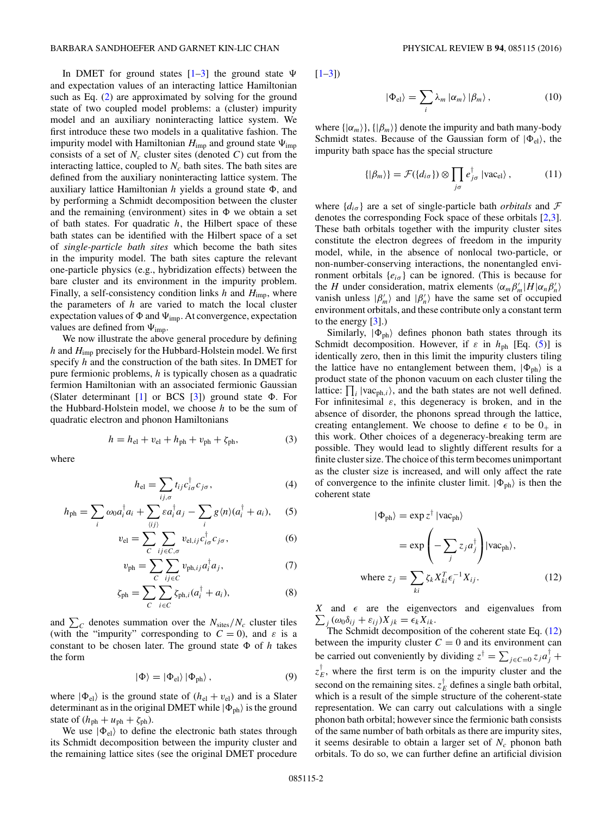<span id="page-1-0"></span>In DMET for ground states  $[1-3]$  the ground state  $\Psi$ and expectation values of an interacting lattice Hamiltonian such as Eq. [\(2\)](#page-0-0) are approximated by solving for the ground state of two coupled model problems: a (cluster) impurity model and an auxiliary noninteracting lattice system. We first introduce these two models in a qualitative fashion. The impurity model with Hamiltonian  $H_{\text{imp}}$  and ground state  $\Psi_{\text{imp}}$ consists of a set of  $N_c$  cluster sites (denoted C) cut from the interacting lattice, coupled to  $N_c$  bath sites. The bath sites are defined from the auxiliary noninteracting lattice system. The auxiliary lattice Hamiltonian  $h$  yields a ground state  $\Phi$ , and by performing a Schmidt decomposition between the cluster and the remaining (environment) sites in  $\Phi$  we obtain a set of bath states. For quadratic *h*, the Hilbert space of these bath states can be identified with the Hilbert space of a set of *single-particle bath sites* which become the bath sites in the impurity model. The bath sites capture the relevant one-particle physics (e.g., hybridization effects) between the bare cluster and its environment in the impurity problem. Finally, a self-consistency condition links  $h$  and  $H_{\text{imp}}$ , where the parameters of *h* are varied to match the local cluster expectation values of  $\Phi$  and  $\Psi_{\text{imp}}$ . At convergence, expectation values are defined from  $\Psi_{\text{imp}}$ .

We now illustrate the above general procedure by defining *h* and *H*imp precisely for the Hubbard-Holstein model. We first specify *h* and the construction of the bath sites. In DMET for pure fermionic problems, *h* is typically chosen as a quadratic fermion Hamiltonian with an associated fermionic Gaussian (Slater determinant  $[1]$  or BCS  $[3]$ ) ground state  $\Phi$ . For the Hubbard-Holstein model, we choose *h* to be the sum of quadratic electron and phonon Hamiltonians

$$
h = h_{\rm el} + v_{\rm el} + h_{\rm ph} + v_{\rm ph} + \zeta_{\rm ph},\tag{3}
$$

where

$$
h_{\rm el} = \sum_{ij,\sigma} t_{ij} c_{i\sigma}^{\dagger} c_{j\sigma},\tag{4}
$$

$$
h_{\rm ph} = \sum_{i} \omega_0 a_i^{\dagger} a_i + \sum_{\langle ij \rangle} \varepsilon a_i^{\dagger} a_j - \sum_{i} g \langle n \rangle (a_i^{\dagger} + a_i), \quad (5)
$$

$$
v_{\rm el} = \sum_{C} \sum_{ij \in C, \sigma} v_{\rm el,ij} c_{i\sigma}^{\dagger} c_{j\sigma}, \qquad (6)
$$

$$
v_{\rm ph} = \sum_{C} \sum_{ij \in C} v_{\rm ph, ij} a_i^{\dagger} a_j,\tag{7}
$$

$$
\zeta_{\text{ph}} = \sum_{C} \sum_{i \in C} \zeta_{\text{ph},i} (a_i^{\dagger} + a_i), \tag{8}
$$

and  $\sum_{C}$  denotes summation over the  $N_{\text{sites}}/N_c$  cluster tiles (with the "impurity" corresponding to  $C = 0$ ), and  $\varepsilon$  is a constant to be chosen later. The ground state  $\Phi$  of *h* takes the form

$$
|\Phi\rangle = |\Phi_{el}\rangle |\Phi_{ph}\rangle , \qquad (9)
$$

where  $|\Phi_{el}\rangle$  is the ground state of  $(h_{el} + v_{el})$  and is a Slater determinant as in the original DMET while  $|\Phi_{ph}\rangle$  is the ground state of  $(h_{ph} + u_{ph} + \zeta_{ph})$ .

We use  $|\Phi_{el}\rangle$  to define the electronic bath states through its Schmidt decomposition between the impurity cluster and the remaining lattice sites (see the original DMET procedure  $[1-3]$ 

$$
|\Phi_{\rm el}\rangle = \sum_i \lambda_m \left| \alpha_m \right\rangle \left| \beta_m \right\rangle, \tag{10}
$$

where  $\{|\alpha_m\rangle\}$ ,  $\{|\beta_m\rangle\}$  denote the impurity and bath many-body Schmidt states. Because of the Gaussian form of  $|\Phi_{el}\rangle$ , the impurity bath space has the special structure

$$
\{|\beta_m\rangle\} = \mathcal{F}(\{d_{i\sigma}\}) \otimes \prod_{j\sigma} e_{j\sigma}^{\dagger} |vac_{\text{el}}\rangle, \qquad (11)
$$

where  $\{d_{i\sigma}\}\$ are a set of single-particle bath *orbitals* and  $\mathcal F$ denotes the corresponding Fock space of these orbitals [\[2,3\]](#page-5-0). These bath orbitals together with the impurity cluster sites constitute the electron degrees of freedom in the impurity model, while, in the absence of nonlocal two-particle, or non-number-conserving interactions, the nonentangled environment orbitals  $\{e_{i\sigma}\}\$  can be ignored. (This is because for the *H* under consideration, matrix elements  $\langle \alpha_m \beta'_m | H | \alpha_n \beta'_n \rangle$ vanish unless  $|\beta'_m\rangle$  and  $|\beta'_n\rangle$  have the same set of occupied environment orbitals, and these contribute only a constant term to the energy [\[3\]](#page-5-0).)

Similarly,  $|\Phi_{ph}\rangle$  defines phonon bath states through its Schmidt decomposition. However, if *ε* in *h*ph [Eq. (5)] is identically zero, then in this limit the impurity clusters tiling the lattice have no entanglement between them,  $|\Phi_{ph}\rangle$  is a product state of the phonon vacuum on each cluster tiling the lattice:  $\prod_i |vac_{ph,i}\rangle$ , and the bath states are not well defined. For infinitesimal *ε*, this degeneracy is broken, and in the absence of disorder, the phonons spread through the lattice, creating entanglement. We choose to define  $\epsilon$  to be  $0_+$  in this work. Other choices of a degeneracy-breaking term are possible. They would lead to slightly different results for a finite cluster size. The choice of this term becomes unimportant as the cluster size is increased, and will only affect the rate of convergence to the infinite cluster limit.  $|\Phi_{ph}\rangle$  is then the coherent state

$$
|\Phi_{\text{ph}}\rangle = \exp z^{\dagger} |\text{vac}_{\text{ph}}\rangle
$$
  
= 
$$
\exp\left(-\sum_{j} z_{j} a_{j}^{\dagger}\right) |\text{vac}_{\text{ph}}\rangle,
$$
  
where 
$$
z_{j} = \sum_{ki} \zeta_{k} X_{ki}^{T} \epsilon_{i}^{-1} X_{ij}.
$$
 (12)

 $\sum_j (\omega_0 \delta_{ij} + \varepsilon_{ij}) X_{jk} = \epsilon_k X_{ik}.$ *X* and  $\epsilon$  are the eigenvectors and eigenvalues from

The Schmidt decomposition of the coherent state Eq.  $(12)$ between the impurity cluster  $C = 0$  and its environment can be carried out conveniently by dividing  $z^{\dagger} = \sum_{j \in C = 0} z_j a_j^{\dagger} +$  $z_{E}^{\dagger}$ , where the first term is on the impurity cluster and the second on the remaining sites.  $z_E^{\dagger}$  defines a single bath orbital, which is a result of the simple structure of the coherent-state representation. We can carry out calculations with a single phonon bath orbital; however since the fermionic bath consists of the same number of bath orbitals as there are impurity sites, it seems desirable to obtain a larger set of  $N_c$  phonon bath orbitals. To do so, we can further define an artificial division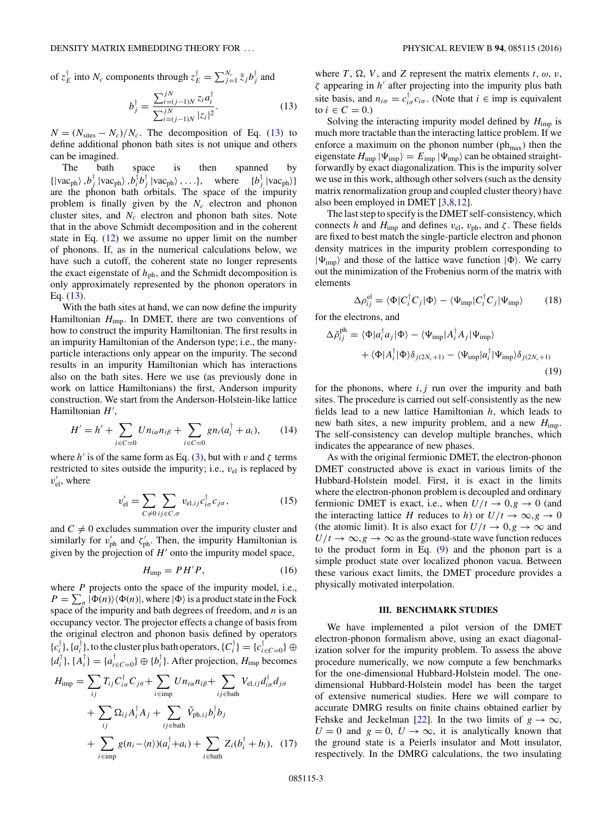<span id="page-2-0"></span>of  $z_E^{\dagger}$  into  $N_c$  components through  $z_E^{\dagger} = \sum_{j=1}^{N_c} \tilde{z}_j b_j^{\dagger}$  and

$$
b_j^{\dagger} = \frac{\sum_{i=(j-1)N}^{jN} z_i a_i^{\dagger}}{\sum_{i=(j-1)N}^{jN} |z_i|^2}.
$$
 (13)

 $N = (N_{\text{sites}} - N_c)/N_c$ . The decomposition of Eq. (13) to define additional phonon bath sites is not unique and others can be imagined.

The bath space is then spanned by  $\{ |vac_{ph}\rangle, b_j^{\dagger} |vac_{ph}\rangle, b_i^{\dagger} b_j^{\dagger} |vac_{ph}\rangle, \ldots \}, \text{ where } \{b_j^{\dagger}$  ${b_i^{\dagger} |vac_{ph}}$ are the phonon bath orbitals. The space of the impurity problem is finally given by the  $N_c$  electron and phonon cluster sites, and *Nc* electron and phonon bath sites. Note that in the above Schmidt decomposition and in the coherent state in Eq.  $(12)$  we assume no upper limit on the number of phonons. If, as in the numerical calculations below, we have such a cutoff, the coherent state no longer represents the exact eigenstate of  $h_{ph}$ , and the Schmidt decomposition is only approximately represented by the phonon operators in Eq. (13).

With the bath sites at hand, we can now define the impurity Hamiltonian  $H_{\text{imp}}$ . In DMET, there are two conventions of how to construct the impurity Hamiltonian. The first results in an impurity Hamiltonian of the Anderson type; i.e., the manyparticle interactions only appear on the impurity. The second results in an impurity Hamiltonian which has interactions also on the bath sites. Here we use (as previously done in work on lattice Hamiltonians) the first, Anderson impurity construction. We start from the Anderson-Holstein-like lattice Hamiltonian *H* ,

$$
H' = h' + \sum_{i \in C = 0} U n_{i\alpha} n_{i\beta} + \sum_{i \in C = 0} g n_i (a_i^{\dagger} + a_i), \qquad (14)
$$

where *h'* is of the same form as Eq. [\(3\)](#page-1-0), but with *v* and  $\zeta$  terms restricted to sites outside the impurity; i.e.,  $v_{el}$  is replaced by  $v'_{el}$ , where

$$
v'_{\rm el} = \sum_{C \neq 0} \sum_{ij \in C, \sigma} v_{\rm el,ij} c^{\dagger}_{i\sigma} c_{j\sigma},\tag{15}
$$

and  $C \neq 0$  excludes summation over the impurity cluster and similarly for  $v'_{\text{ph}}$  and  $\zeta'_{\text{ph}}$ . Then, the impurity Hamiltonian is given by the projection of  $H'$  onto the impurity model space,

$$
H_{\rm imp} = P H' P, \tag{16}
$$

where *P* projects onto the space of the impurity model, i.e.,  $P = \sum_{n} |\Phi(n)\rangle \langle \Phi(n)|$ , where  $|\Phi\rangle$  is a product state in the Fock space of the impurity and bath degrees of freedom, and *n* is an occupancy vector. The projector effects a change of basis from the original electron and phonon basis defined by operators  ${c}^{\dagger}_i$ ,  ${a}^{\dagger}_i$ , to the cluster plus bath operators,  ${C}^{\dagger}_i$  =  ${c}^{\dagger}_{i \in C=0}$   $\oplus$  ${d_i^{\dagger}}$ ,  ${A_i^{\dagger}} = {a_{i \in C=0}^{\dagger}} \oplus {b_i^{\dagger}}$ . After projection,  $H_{\text{imp}}$  becomes

$$
H_{\text{imp}} = \sum_{ij} T_{ij} C_{i\sigma}^{\dagger} C_{j\sigma} + \sum_{i \in \text{imp}} U n_{i\alpha} n_{i\beta} + \sum_{ij \in \text{bath}} V_{\text{el},ij} d_{i\sigma}^{\dagger} d_{j\sigma}
$$
  
+ 
$$
\sum_{ij} \Omega_{ij} A_{i}^{\dagger} A_{j} + \sum_{ij \in \text{bath}} \tilde{V}_{\text{ph},ij} b_{i}^{\dagger} b_{j}
$$
  
+ 
$$
\sum_{i \in \text{imp}} g(n_{i} - \langle n \rangle)(a_{i}^{\dagger} + a_{i}) + \sum_{i \in \text{bath}} Z_{i} (b_{i}^{\dagger} + b_{i}), \quad (17)
$$

where *T*,  $\Omega$ , *V*, and *Z* represent the matrix elements *t*,  $\omega$ , *v*, *ζ* appearing in *h* after projecting into the impurity plus bath site basis, and  $n_{i\sigma} = c_{i\sigma}^{\dagger} c_{i\sigma}$ . (Note that  $i \in \text{imp}$  is equivalent to *i* ∈ *C* = 0.)

Solving the interacting impurity model defined by  $H_{\text{imp}}$  is much more tractable than the interacting lattice problem. If we enforce a maximum on the phonon number  $(ph<sub>max</sub>)$  then the eigenstate  $H_{\text{imp}} |\Psi_{\text{imp}}\rangle = E_{\text{imp}} |\Psi_{\text{imp}}\rangle$  can be obtained straightforwardly by exact diagonalization. This is the impurity solver we use in this work, although other solvers (such as the density matrix renormalization group and coupled cluster theory) have also been employed in DMET [\[3,8,12\]](#page-5-0).

The last step to specify is the DMET self-consistency, which connects *h* and  $H_{\text{imp}}$  and defines  $v_{el}$ ,  $v_{ph}$ , and  $\zeta$ . These fields are fixed to best match the single-particle electron and phonon density matrices in the impurity problem corresponding to  $|\Psi_{\text{imp}}\rangle$  and those of the lattice wave function  $|\Phi\rangle$ . We carry out the minimization of the Frobenius norm of the matrix with elements

$$
\Delta \rho_{ij}^{\text{el}} = \langle \Phi | C_i^{\dagger} C_j | \Phi \rangle - \langle \Psi_{\text{imp}} | C_i^{\dagger} C_j | \Psi_{\text{imp}} \rangle \tag{18}
$$

for the electrons, and

$$
\Delta \tilde{\rho}_{ij}^{\text{ph}} = \langle \Phi | a_i^{\dagger} a_j | \Phi \rangle - \langle \Psi_{\text{imp}} | A_i^{\dagger} A_j | \Psi_{\text{imp}} \rangle \n+ \langle \Phi | A_i^{\dagger} | \Phi \rangle \delta_{j(2N_c+1)} - \langle \Psi_{\text{imp}} | a_i^{\dagger} | \Psi_{\text{imp}} \rangle \delta_{j(2N_c+1)}
$$
\n(19)

for the phonons, where  $i, j$  run over the impurity and bath sites. The procedure is carried out self-consistently as the new fields lead to a new lattice Hamiltonian *h*, which leads to new bath sites, a new impurity problem, and a new *H*imp. The self-consistency can develop multiple branches, which indicates the appearance of new phases.

As with the original fermionic DMET, the electron-phonon DMET constructed above is exact in various limits of the Hubbard-Holstein model. First, it is exact in the limits where the electron-phonon problem is decoupled and ordinary fermionic DMET is exact, i.e., when  $U/t \rightarrow 0, g \rightarrow 0$  (and the interacting lattice *H* reduces to *h*) or  $U/t \rightarrow \infty, g \rightarrow 0$ (the atomic limit). It is also exact for  $U/t \rightarrow 0, g \rightarrow \infty$  and  $U/t \rightarrow \infty, g \rightarrow \infty$  as the ground-state wave function reduces to the product form in Eq. [\(9\)](#page-1-0) and the phonon part is a simple product state over localized phonon vacua. Between these various exact limits, the DMET procedure provides a physically motivated interpolation.

#### **III. BENCHMARK STUDIES**

We have implemented a pilot version of the DMET electron-phonon formalism above, using an exact diagonalization solver for the impurity problem. To assess the above procedure numerically, we now compute a few benchmarks for the one-dimensional Hubbard-Holstein model. The onedimensional Hubbard-Holstein model has been the target of extensive numerical studies. Here we will compare to accurate DMRG results on finite chains obtained earlier by Fehske and Jeckelman [\[22\]](#page-5-0). In the two limits of  $g \to \infty$ ,  $U = 0$  and  $g = 0$ ,  $U \rightarrow \infty$ , it is analytically known that the ground state is a Peierls insulator and Mott insulator, respectively. In the DMRG calculations, the two insulating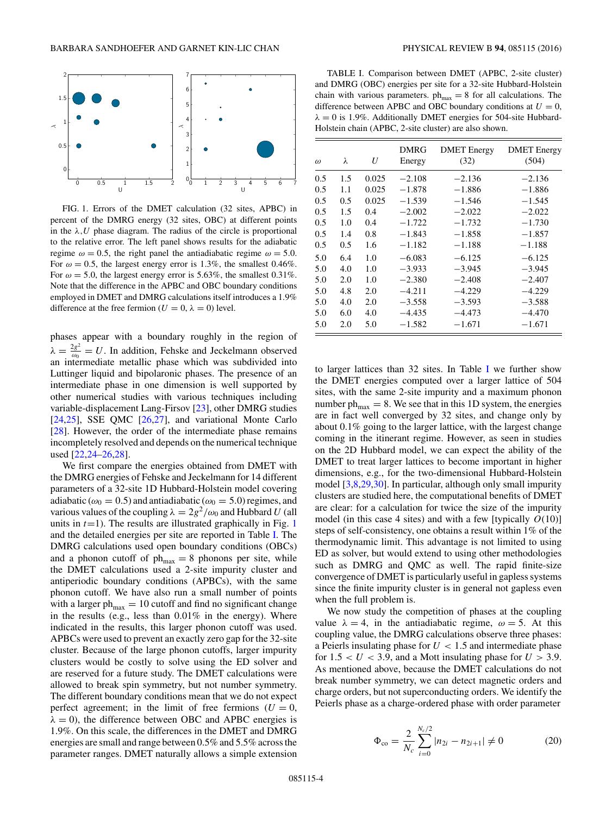

FIG. 1. Errors of the DMET calculation (32 sites, APBC) in percent of the DMRG energy (32 sites, OBC) at different points in the  $\lambda$ , U phase diagram. The radius of the circle is proportional to the relative error. The left panel shows results for the adiabatic regime  $\omega = 0.5$ , the right panel the antiadiabatic regime  $\omega = 5.0$ . For  $\omega = 0.5$ , the largest energy error is 1.3%, the smallest 0.46%. For  $\omega = 5.0$ , the largest energy error is 5.63%, the smallest 0.31%. Note that the difference in the APBC and OBC boundary conditions employed in DMET and DMRG calculations itself introduces a 1.9% difference at the free fermion ( $U = 0$ ,  $\lambda = 0$ ) level.

phases appear with a boundary roughly in the region of  $\lambda = \frac{2g^2}{\omega_0} = U$ . In addition, Fehske and Jeckelmann observed an intermediate metallic phase which was subdivided into Luttinger liquid and bipolaronic phases. The presence of an intermediate phase in one dimension is well supported by other numerical studies with various techniques including variable-displacement Lang-Firsov [\[23\]](#page-5-0), other DMRG studies [\[24,25\]](#page-5-0), SSE QMC [\[26,27\]](#page-5-0), and variational Monte Carlo [\[28\]](#page-5-0). However, the order of the intermediate phase remains incompletely resolved and depends on the numerical technique used [\[22,24–26,28\]](#page-5-0).

We first compare the energies obtained from DMET with the DMRG energies of Fehske and Jeckelmann for 14 different parameters of a 32-site 1D Hubbard-Holstein model covering adiabatic ( $\omega_0 = 0.5$ ) and antiadiabatic ( $\omega_0 = 5.0$ ) regimes, and various values of the coupling  $\lambda = 2g^2/\omega_0$  and Hubbard *U* (all units in  $t=1$ ). The results are illustrated graphically in Fig. 1 and the detailed energies per site are reported in Table I. The DMRG calculations used open boundary conditions (OBCs) and a phonon cutoff of  $ph_{max} = 8$  phonons per site, while the DMET calculations used a 2-site impurity cluster and antiperiodic boundary conditions (APBCs), with the same phonon cutoff. We have also run a small number of points with a larger  $ph_{max} = 10$  cutoff and find no significant change in the results (e.g., less than 0*.*01% in the energy). Where indicated in the results, this larger phonon cutoff was used. APBCs were used to prevent an exactly zero gap for the 32-site cluster. Because of the large phonon cutoffs, larger impurity clusters would be costly to solve using the ED solver and are reserved for a future study. The DMET calculations were allowed to break spin symmetry, but not number symmetry. The different boundary conditions mean that we do not expect perfect agreement; in the limit of free fermions  $(U = 0,$  $\lambda = 0$ , the difference between OBC and APBC energies is 1.9%. On this scale, the differences in the DMET and DMRG energies are small and range between 0.5% and 5.5% across the parameter ranges. DMET naturally allows a simple extension

TABLE I. Comparison between DMET (APBC, 2-site cluster) and DMRG (OBC) energies per site for a 32-site Hubbard-Holstein chain with various parameters.  $ph_{max} = 8$  for all calculations. The difference between APBC and OBC boundary conditions at  $U = 0$ ,  $\lambda = 0$  is 1.9%. Additionally DMET energies for 504-site Hubbard-Holstein chain (APBC, 2-site cluster) are also shown.

| $\omega$ | λ   | U     | DMRG<br>Energy | <b>DMET</b> Energy<br>(32) | <b>DMET</b> Energy<br>(504) |
|----------|-----|-------|----------------|----------------------------|-----------------------------|
| 0.5      | 1.5 | 0.025 | $-2.108$       | $-2.136$                   | $-2.136$                    |
| 0.5      | 1.1 | 0.025 | $-1.878$       | $-1.886$                   | $-1.886$                    |
| 0.5      | 0.5 | 0.025 | $-1.539$       | $-1.546$                   | $-1.545$                    |
| 0.5      | 1.5 | 0.4   | $-2.002$       | $-2.022$                   | $-2.022$                    |
| 0.5      | 1.0 | 0.4   | $-1.722$       | $-1.732$                   | $-1.730$                    |
| 0.5      | 1.4 | 0.8   | $-1.843$       | $-1.858$                   | $-1.857$                    |
| 0.5      | 0.5 | 1.6   | $-1.182$       | $-1.188$                   | $-1.188$                    |
| 5.0      | 6.4 | 1.0   | $-6.083$       | $-6.125$                   | $-6.125$                    |
| 5.0      | 4.0 | 1.0   | $-3.933$       | $-3.945$                   | $-3.945$                    |
| 5.0      | 2.0 | 1.0   | $-2.380$       | $-2.408$                   | $-2.407$                    |
| 5.0      | 4.8 | 2.0   | $-4.211$       | $-4.229$                   | $-4.229$                    |
| 5.0      | 4.0 | 2.0   | $-3.558$       | $-3.593$                   | $-3.588$                    |
| 5.0      | 6.0 | 4.0   | $-4.435$       | $-4.473$                   | $-4.470$                    |
| 5.0      | 2.0 | 5.0   | $-1.582$       | $-1.671$                   | $-1.671$                    |

to larger lattices than 32 sites. In Table I we further show the DMET energies computed over a larger lattice of 504 sites, with the same 2-site impurity and a maximum phonon number  $ph_{max} = 8$ . We see that in this 1D system, the energies are in fact well converged by 32 sites, and change only by about 0.1% going to the larger lattice, with the largest change coming in the itinerant regime. However, as seen in studies on the 2D Hubbard model, we can expect the ability of the DMET to treat larger lattices to become important in higher dimensions, e.g., for the two-dimensional Hubbard-Holstein model [\[3,8,29,30\]](#page-5-0). In particular, although only small impurity clusters are studied here, the computational benefits of DMET are clear: for a calculation for twice the size of the impurity model (in this case 4 sites) and with a few [typically  $O(10)$ ] steps of self-consistency, one obtains a result within 1% of the thermodynamic limit. This advantage is not limited to using ED as solver, but would extend to using other methodologies such as DMRG and QMC as well. The rapid finite-size convergence of DMET is particularly useful in gapless systems since the finite impurity cluster is in general not gapless even when the full problem is.

We now study the competition of phases at the coupling value  $\lambda = 4$ , in the antiadiabatic regime,  $\omega = 5$ . At this coupling value, the DMRG calculations observe three phases: a Peierls insulating phase for *U <* 1*.*5 and intermediate phase for  $1.5 < U < 3.9$ , and a Mott insulating phase for  $U > 3.9$ . As mentioned above, because the DMET calculations do not break number symmetry, we can detect magnetic orders and charge orders, but not superconducting orders. We identify the Peierls phase as a charge-ordered phase with order parameter

$$
\Phi_{\rm co} = \frac{2}{N_c} \sum_{i=0}^{N_c/2} |n_{2i} - n_{2i+1}| \neq 0 \tag{20}
$$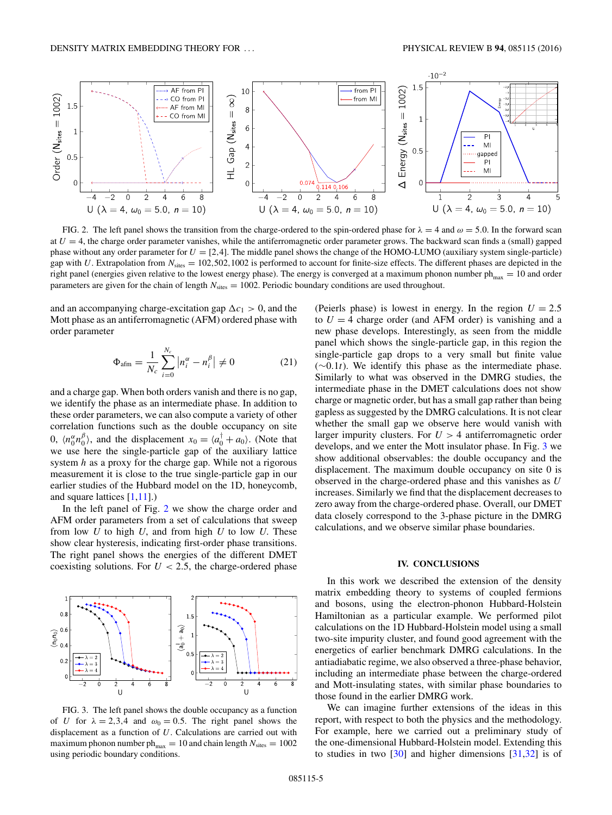<span id="page-4-0"></span>

FIG. 2. The left panel shows the transition from the charge-ordered to the spin-ordered phase for  $\lambda = 4$  and  $\omega = 5.0$ . In the forward scan at  $U = 4$ , the charge order parameter vanishes, while the antiferromagnetic order parameter grows. The backward scan finds a (small) gapped phase without any order parameter for  $U = [2, 4]$ . The middle panel shows the change of the HOMO-LUMO (auxiliary system single-particle) gap with *U*. Extrapolation from  $N_{\text{sites}} = 102,502,1002$  is performed to account for finite-size effects. The different phases are depicted in the right panel (energies given relative to the lowest energy phase). The energy is converged at a maximum phonon number  $ph_{\text{max}} = 10$  and order parameters are given for the chain of length  $N_{\text{sites}} = 1002$ . Periodic boundary conditions are used throughout.

and an accompanying charge-excitation gap  $\Delta c_1 > 0$ , and the Mott phase as an antiferromagnetic (AFM) ordered phase with order parameter

$$
\Phi_{\text{afm}} = \frac{1}{N_c} \sum_{i=0}^{N_c} |n_i^{\alpha} - n_i^{\beta}| \neq 0
$$
 (21)

and a charge gap. When both orders vanish and there is no gap, we identify the phase as an intermediate phase. In addition to these order parameters, we can also compute a variety of other correlation functions such as the double occupancy on site 0,  $\langle n_0^{\alpha} n_0^{\beta} \rangle$ , and the displacement  $x_0 = \langle a_0^{\dagger} + a_0 \rangle$ . (Note that we use here the single-particle gap of the auxiliary lattice system *h* as a proxy for the charge gap. While not a rigorous measurement it is close to the true single-particle gap in our earlier studies of the Hubbard model on the 1D, honeycomb, and square lattices [\[1,11\]](#page-5-0).)

In the left panel of Fig. 2 we show the charge order and AFM order parameters from a set of calculations that sweep from low *U* to high *U*, and from high *U* to low *U*. These show clear hysteresis, indicating first-order phase transitions. The right panel shows the energies of the different DMET coexisting solutions. For  $U < 2.5$ , the charge-ordered phase



FIG. 3. The left panel shows the double occupancy as a function of *U* for  $\lambda = 2.3.4$  and  $\omega_0 = 0.5$ . The right panel shows the displacement as a function of *U*. Calculations are carried out with maximum phonon number  $ph_{max} = 10$  and chain length  $N_{sites} = 1002$ using periodic boundary conditions.

(Peierls phase) is lowest in energy. In the region  $U = 2.5$ to  $U = 4$  charge order (and AFM order) is vanishing and a new phase develops. Interestingly, as seen from the middle panel which shows the single-particle gap, in this region the single-particle gap drops to a very small but finite value (∼0*.*1*t*). We identify this phase as the intermediate phase. Similarly to what was observed in the DMRG studies, the intermediate phase in the DMET calculations does not show charge or magnetic order, but has a small gap rather than being gapless as suggested by the DMRG calculations. It is not clear whether the small gap we observe here would vanish with larger impurity clusters. For *U >* 4 antiferromagnetic order develops, and we enter the Mott insulator phase. In Fig. 3 we show additional observables: the double occupancy and the displacement. The maximum double occupancy on site 0 is observed in the charge-ordered phase and this vanishes as *U* increases. Similarly we find that the displacement decreases to zero away from the charge-ordered phase. Overall, our DMET data closely correspond to the 3-phase picture in the DMRG calculations, and we observe similar phase boundaries.

## **IV. CONCLUSIONS**

In this work we described the extension of the density matrix embedding theory to systems of coupled fermions and bosons, using the electron-phonon Hubbard-Holstein Hamiltonian as a particular example. We performed pilot calculations on the 1D Hubbard-Holstein model using a small two-site impurity cluster, and found good agreement with the energetics of earlier benchmark DMRG calculations. In the antiadiabatic regime, we also observed a three-phase behavior, including an intermediate phase between the charge-ordered and Mott-insulating states, with similar phase boundaries to those found in the earlier DMRG work.

We can imagine further extensions of the ideas in this report, with respect to both the physics and the methodology. For example, here we carried out a preliminary study of the one-dimensional Hubbard-Holstein model. Extending this to studies in two  $[30]$  and higher dimensions  $[31,32]$  is of